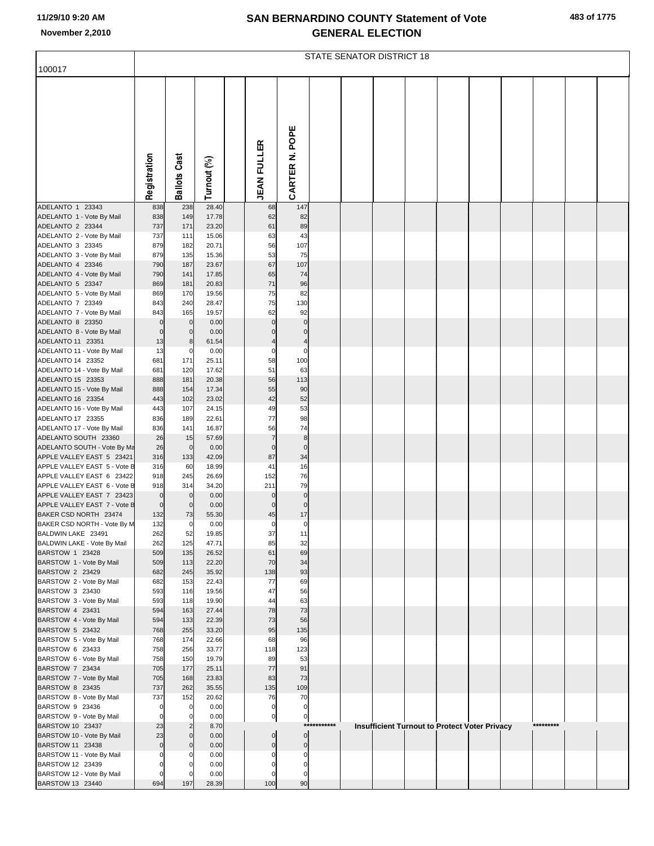|                                                                                                                             | <b>STATE SENATOR DISTRICT 18</b> |                                 |                                           |  |                                  |                                        |             |  |  |  |  |                                               |  |           |  |  |
|-----------------------------------------------------------------------------------------------------------------------------|----------------------------------|---------------------------------|-------------------------------------------|--|----------------------------------|----------------------------------------|-------------|--|--|--|--|-----------------------------------------------|--|-----------|--|--|
| 100017                                                                                                                      |                                  |                                 |                                           |  |                                  |                                        |             |  |  |  |  |                                               |  |           |  |  |
|                                                                                                                             | Registration                     | <b>Ballots Cast</b>             | Turnout (%)                               |  | <b>JEAN FULLER</b>               | CARTER N. POPE                         |             |  |  |  |  |                                               |  |           |  |  |
| ADELANTO 1 23343                                                                                                            | 838                              | 238                             | 28.40                                     |  | 68                               | 147                                    |             |  |  |  |  |                                               |  |           |  |  |
| ADELANTO 1 - Vote By Mail<br>ADELANTO 2 23344<br>ADELANTO 2 - Vote By Mail<br>ADELANTO 3 23345<br>ADELANTO 3 - Vote By Mail | 838<br>737<br>737<br>879<br>879  | 149<br>171<br>111<br>182<br>135 | 17.78<br>23.20<br>15.06<br>20.71<br>15.36 |  | 62<br>61<br>63<br>56<br>53       | 82<br>89<br>43<br>107<br>75            |             |  |  |  |  |                                               |  |           |  |  |
| ADELANTO 4 23346                                                                                                            | 790                              | 187                             | 23.67                                     |  | 67                               | 107                                    |             |  |  |  |  |                                               |  |           |  |  |
| ADELANTO 4 - Vote By Mail<br>ADELANTO 5 23347                                                                               | 790<br>869                       | 141<br>181                      | 17.85<br>20.83                            |  | 65<br>71                         | 74<br>96                               |             |  |  |  |  |                                               |  |           |  |  |
| ADELANTO 5 - Vote By Mail                                                                                                   | 869                              | 170                             | 19.56                                     |  | 75                               | 82                                     |             |  |  |  |  |                                               |  |           |  |  |
| ADELANTO 7 23349<br>ADELANTO 7 - Vote By Mail                                                                               | 843<br>843                       | 240<br>165                      | 28.47<br>19.57                            |  | 75<br>62                         | 130<br>92                              |             |  |  |  |  |                                               |  |           |  |  |
| ADELANTO 8 23350                                                                                                            | $\mathbf 0$                      | $\mathbf 0$                     | 0.00                                      |  | $\mathbf 0$                      | $\mathbf 0$                            |             |  |  |  |  |                                               |  |           |  |  |
| ADELANTO 8 - Vote By Mail<br>ADELANTO 11 23351                                                                              | 0<br>13                          | $\mathbf 0$<br>8                | 0.00<br>61.54                             |  | $\mathbf 0$<br>$\overline{4}$    | $\mathbf 0$<br>$\overline{\mathbf{4}}$ |             |  |  |  |  |                                               |  |           |  |  |
| ADELANTO 11 - Vote By Mail                                                                                                  | 13                               | $\mathbf 0$                     | 0.00                                      |  | $\mathbf 0$                      | $\mathbf 0$                            |             |  |  |  |  |                                               |  |           |  |  |
| ADELANTO 14 23352                                                                                                           | 681                              | 171                             | 25.11                                     |  | 58                               | 100<br>63                              |             |  |  |  |  |                                               |  |           |  |  |
| ADELANTO 14 - Vote By Mail<br>ADELANTO 15 23353                                                                             | 681<br>888                       | 120<br>181                      | 17.62<br>20.38                            |  | 51<br>56                         | 113                                    |             |  |  |  |  |                                               |  |           |  |  |
| ADELANTO 15 - Vote By Mail                                                                                                  | 888                              | 154                             | 17.34                                     |  | 55                               | 90                                     |             |  |  |  |  |                                               |  |           |  |  |
| ADELANTO 16 23354<br>ADELANTO 16 - Vote By Mail                                                                             | 443<br>443                       | 102<br>107                      | 23.02<br>24.15                            |  | 42<br>49                         | 52<br>53                               |             |  |  |  |  |                                               |  |           |  |  |
| ADELANTO 17 23355                                                                                                           | 836                              | 189                             | 22.61                                     |  | 77                               | 98                                     |             |  |  |  |  |                                               |  |           |  |  |
| ADELANTO 17 - Vote By Mail<br>ADELANTO SOUTH 23360                                                                          | 836<br>26                        | 141<br>15                       | 16.87<br>57.69                            |  | 56<br>$\overline{7}$             | 74<br>$\bf8$                           |             |  |  |  |  |                                               |  |           |  |  |
| ADELANTO SOUTH - Vote By Ma                                                                                                 | 26                               | $\overline{0}$                  | 0.00                                      |  | $\mathbf 0$                      | $\mathbf 0$                            |             |  |  |  |  |                                               |  |           |  |  |
| APPLE VALLEY EAST 5 23421<br>APPLE VALLEY EAST 5 - Vote B                                                                   | 316<br>316                       | 133<br>60                       | 42.09<br>18.99                            |  | 87<br>41                         | 34<br>16                               |             |  |  |  |  |                                               |  |           |  |  |
| APPLE VALLEY EAST 6 23422                                                                                                   | 918                              | 245                             | 26.69                                     |  | 152                              | 76                                     |             |  |  |  |  |                                               |  |           |  |  |
| APPLE VALLEY EAST 6 - Vote B                                                                                                | 918                              | 314                             | 34.20                                     |  | 211                              | 79                                     |             |  |  |  |  |                                               |  |           |  |  |
| APPLE VALLEY EAST 7 23423<br>APPLE VALLEY EAST 7 - Vote B                                                                   | $\mathbf 0$<br>0                 | $\overline{0}$<br>$\mathbf 0$   | 0.00<br>0.00                              |  | $\mathbf 0$<br>$\mathbf{0}$      | $\mathbf 0$<br>$\mathbf 0$             |             |  |  |  |  |                                               |  |           |  |  |
| BAKER CSD NORTH 23474                                                                                                       | 132                              | 73                              | 55.30                                     |  | 45                               | 17                                     |             |  |  |  |  |                                               |  |           |  |  |
| BAKER CSD NORTH - Vote By M<br>BALDWIN LAKE 23491                                                                           | 132<br>262                       | $\Omega$<br>52                  | 0.00<br>19.85                             |  | $\Omega$<br>37                   | $\Omega$<br>11                         |             |  |  |  |  |                                               |  |           |  |  |
| BALDWIN LAKE - Vote By Mail                                                                                                 | 262                              | 125                             | 47.71                                     |  | 85                               | 32                                     |             |  |  |  |  |                                               |  |           |  |  |
| BARSTOW 1 23428<br>BARSTOW 1 - Vote By Mail                                                                                 | 509<br>509                       | 135<br>113                      | 26.52<br>22.20                            |  | 61<br>70                         | 69<br>34                               |             |  |  |  |  |                                               |  |           |  |  |
| BARSTOW 2 23429                                                                                                             | 682                              | 245                             | 35.92                                     |  | 138                              | 93                                     |             |  |  |  |  |                                               |  |           |  |  |
| BARSTOW 2 - Vote By Mail<br>BARSTOW 3 23430                                                                                 | 682<br>593                       | 153<br>116                      | 22.43<br>19.56                            |  | 77<br>47                         | 69<br>56                               |             |  |  |  |  |                                               |  |           |  |  |
| BARSTOW 3 - Vote By Mail                                                                                                    | 593                              | 118                             | 19.90                                     |  | 44                               | 63                                     |             |  |  |  |  |                                               |  |           |  |  |
| BARSTOW 4 23431<br>BARSTOW 4 - Vote By Mail                                                                                 | 594<br>594                       | 163<br>133                      | 27.44<br>22.39                            |  | 78<br>73                         | 73<br>56                               |             |  |  |  |  |                                               |  |           |  |  |
| BARSTOW 5 23432                                                                                                             | 768                              | 255                             | 33.20                                     |  | 95                               | 135                                    |             |  |  |  |  |                                               |  |           |  |  |
| BARSTOW 5 - Vote By Mail                                                                                                    | 768<br>758                       | 174<br>256                      | 22.66<br>33.77                            |  | 68<br>118                        | 96<br>123                              |             |  |  |  |  |                                               |  |           |  |  |
| BARSTOW 6 23433<br>BARSTOW 6 - Vote By Mail                                                                                 | 758                              | 150                             | 19.79                                     |  | 89                               | 53                                     |             |  |  |  |  |                                               |  |           |  |  |
| BARSTOW 7 23434                                                                                                             | 705                              | 177                             | 25.11                                     |  | 77                               | 91                                     |             |  |  |  |  |                                               |  |           |  |  |
| BARSTOW 7 - Vote By Mail<br>BARSTOW 8 23435                                                                                 | 705<br>737                       | 168<br>262                      | 23.83<br>35.55                            |  | 83<br>135                        | 73<br>109                              |             |  |  |  |  |                                               |  |           |  |  |
| BARSTOW 8 - Vote By Mail                                                                                                    | 737                              | 152                             | 20.62                                     |  | 76                               | 70                                     |             |  |  |  |  |                                               |  |           |  |  |
| BARSTOW 9 23436<br>BARSTOW 9 - Vote By Mail                                                                                 | 0<br>$\Omega$                    | $\mathbf 0$<br>$\Omega$         | 0.00<br>0.00                              |  | $\overline{0}$<br>$\mathbf{0}$   | $\overline{0}$<br>$\overline{0}$       |             |  |  |  |  |                                               |  |           |  |  |
| BARSTOW 10 23437                                                                                                            | 23                               | $\overline{2}$                  | 8.70                                      |  |                                  |                                        | *********** |  |  |  |  | Insufficient Turnout to Protect Voter Privacy |  | ********* |  |  |
| BARSTOW 10 - Vote By Mail<br>BARSTOW 11 23438                                                                               | 23<br>0                          | $\Omega$<br>$\Omega$            | 0.00<br>0.00                              |  | $\overline{0}$<br>$\overline{0}$ | $\overline{0}$<br>$\overline{0}$       |             |  |  |  |  |                                               |  |           |  |  |
| BARSTOW 11 - Vote By Mail                                                                                                   | $\Omega$                         |                                 | 0.00                                      |  | $\Omega$                         | $\mathbf 0$                            |             |  |  |  |  |                                               |  |           |  |  |
| BARSTOW 12 23439<br>BARSTOW 12 - Vote By Mail                                                                               | $\Omega$<br>$\Omega$             | O                               | 0.00<br>0.00                              |  | $\mathbf 0$<br>$\Omega$          | $\mathbf 0$<br>$\mathbf 0$             |             |  |  |  |  |                                               |  |           |  |  |
| BARSTOW 13 23440                                                                                                            | 694                              | 197                             | 28.39                                     |  | 100                              | 90                                     |             |  |  |  |  |                                               |  |           |  |  |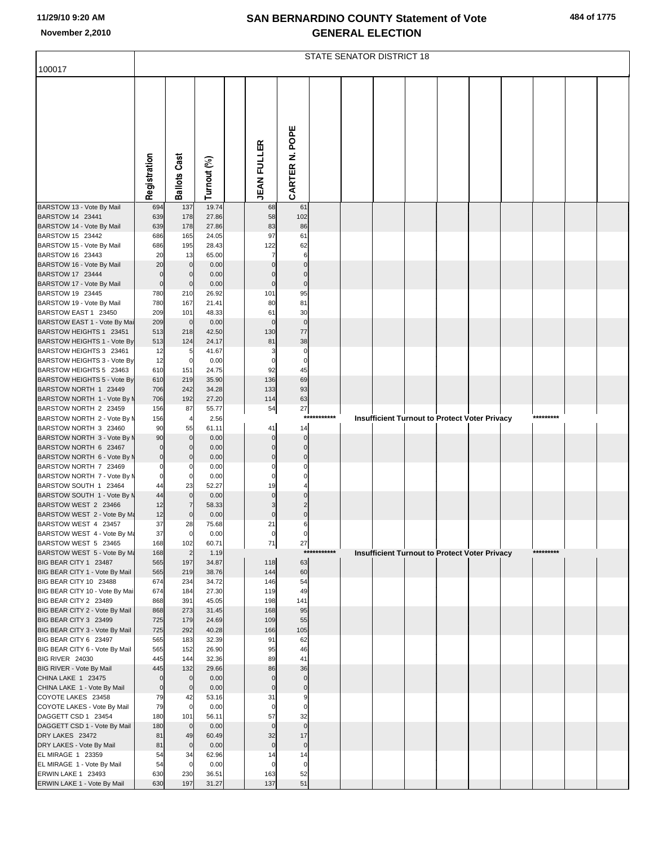|  | 484 of 1775 |
|--|-------------|
|  |             |

|                                                          | <b>STATE SENATOR DISTRICT 18</b> |                               |                |  |                            |                               |             |  |  |  |  |                                                      |  |           |  |  |
|----------------------------------------------------------|----------------------------------|-------------------------------|----------------|--|----------------------------|-------------------------------|-------------|--|--|--|--|------------------------------------------------------|--|-----------|--|--|
| 100017                                                   |                                  |                               |                |  |                            |                               |             |  |  |  |  |                                                      |  |           |  |  |
|                                                          |                                  |                               |                |  |                            |                               |             |  |  |  |  |                                                      |  |           |  |  |
|                                                          |                                  |                               |                |  |                            |                               |             |  |  |  |  |                                                      |  |           |  |  |
|                                                          | Registration                     | <b>Ballots Cast</b>           | Turnout (%)    |  | <b>JEAN FULLER</b>         | CARTER N. POPE                |             |  |  |  |  |                                                      |  |           |  |  |
|                                                          |                                  |                               |                |  |                            |                               |             |  |  |  |  |                                                      |  |           |  |  |
| BARSTOW 13 - Vote By Mail                                | 694                              | 137                           | 19.74          |  | 68                         | 61                            |             |  |  |  |  |                                                      |  |           |  |  |
| BARSTOW 14 23441<br>BARSTOW 14 - Vote By Mail            | 639<br>639                       | 178<br>178                    | 27.86<br>27.86 |  | 58<br>83                   | 102<br>86                     |             |  |  |  |  |                                                      |  |           |  |  |
| BARSTOW 15 23442                                         | 686                              | 165                           | 24.05          |  | 97                         | 61                            |             |  |  |  |  |                                                      |  |           |  |  |
| BARSTOW 15 - Vote By Mail<br>BARSTOW 16 23443            | 686<br>20                        | 195<br>13                     | 28.43<br>65.00 |  | 122                        | 62<br>6                       |             |  |  |  |  |                                                      |  |           |  |  |
| BARSTOW 16 - Vote By Mail                                | 20                               | $\mathbf 0$                   | 0.00           |  | $\mathbf 0$                | $\mathbf 0$                   |             |  |  |  |  |                                                      |  |           |  |  |
| BARSTOW 17 23444                                         | $\mathbf 0$                      | $\mathbf 0$                   | 0.00           |  | $\Omega$                   | $\mathbf 0$                   |             |  |  |  |  |                                                      |  |           |  |  |
| BARSTOW 17 - Vote By Mail<br>BARSTOW 19 23445            | $\mathbf 0$<br>780               | $\mathbf 0$<br>210            | 0.00<br>26.92  |  | $\mathbf 0$<br>101         | $\mathbf 0$<br>95             |             |  |  |  |  |                                                      |  |           |  |  |
| BARSTOW 19 - Vote By Mail                                | 780                              | 167                           | 21.41          |  | 80                         | 81                            |             |  |  |  |  |                                                      |  |           |  |  |
| BARSTOW EAST 1 23450                                     | 209                              | 101                           | 48.33          |  | 61                         | 30                            |             |  |  |  |  |                                                      |  |           |  |  |
| BARSTOW EAST 1 - Vote By Mai<br>BARSTOW HEIGHTS 1 23451  | 209<br>513                       | $\overline{0}$<br>218         | 0.00<br>42.50  |  | $\mathbf 0$<br>130         | $\mathbf 0$<br>77             |             |  |  |  |  |                                                      |  |           |  |  |
| BARSTOW HEIGHTS 1 - Vote By                              | 513                              | 124                           | 24.17          |  | 81                         | 38                            |             |  |  |  |  |                                                      |  |           |  |  |
| BARSTOW HEIGHTS 3 23461                                  | 12                               | 5                             | 41.67          |  | 3<br>$\Omega$              | $\pmb{0}$<br>$\mathbf 0$      |             |  |  |  |  |                                                      |  |           |  |  |
| BARSTOW HEIGHTS 3 - Vote By<br>BARSTOW HEIGHTS 5 23463   | 12<br>610                        | $\mathbf 0$<br>151            | 0.00<br>24.75  |  | 92                         | 45                            |             |  |  |  |  |                                                      |  |           |  |  |
| BARSTOW HEIGHTS 5 - Vote By                              | 610                              | 219                           | 35.90          |  | 136                        | 69                            |             |  |  |  |  |                                                      |  |           |  |  |
| BARSTOW NORTH 1 23449<br>BARSTOW NORTH 1 - Vote By M     | 706<br>706                       | 242<br>192                    | 34.28<br>27.20 |  | 133<br>114                 | 93<br>63                      |             |  |  |  |  |                                                      |  |           |  |  |
| BARSTOW NORTH 2 23459                                    | 156                              | 87                            | 55.77          |  | 54                         | 27                            |             |  |  |  |  |                                                      |  |           |  |  |
| BARSTOW NORTH 2 - Vote By N                              | 156                              | 4                             | 2.56           |  |                            |                               | *********** |  |  |  |  | Insufficient Turnout to Protect Voter Privacy        |  | ********* |  |  |
| BARSTOW NORTH 3 23460<br>BARSTOW NORTH 3 - Vote By N     | 90<br>90                         | 55<br>$\mathbf 0$             | 61.11<br>0.00  |  | 41<br>$\mathbf 0$          | 14<br>$\mathbf 0$             |             |  |  |  |  |                                                      |  |           |  |  |
| BARSTOW NORTH 6 23467                                    | $\pmb{0}$                        | $\mathbf{0}$                  | 0.00           |  | $\mathbf 0$                | $\mathbf 0$                   |             |  |  |  |  |                                                      |  |           |  |  |
| BARSTOW NORTH 6 - Vote By N                              | $\overline{0}$                   | $\mathbf{0}$                  | 0.00           |  | $\mathbf 0$                | $\mathbf 0$                   |             |  |  |  |  |                                                      |  |           |  |  |
| BARSTOW NORTH 7 23469<br>BARSTOW NORTH 7 - Vote By N     | $\mathbf 0$<br>$\mathbf 0$       | $\Omega$<br>$\mathbf 0$       | 0.00<br>0.00   |  | 0<br>$\Omega$              | 0                             |             |  |  |  |  |                                                      |  |           |  |  |
| BARSTOW SOUTH 1 23464                                    | 44                               | 23                            | 52.27          |  | 19                         |                               |             |  |  |  |  |                                                      |  |           |  |  |
| BARSTOW SOUTH 1 - Vote By N                              | 44                               | $\overline{0}$                | 0.00           |  | $\mathbf 0$                | $\mathbf 0$                   |             |  |  |  |  |                                                      |  |           |  |  |
| BARSTOW WEST 2 23466<br>BARSTOW WEST 2 - Vote By Ma      | 12<br>12                         | $\mathbf 0$                   | 58.33<br>0.00  |  | 3<br>$\pmb{0}$             | $\overline{2}$<br>$\mathbf 0$ |             |  |  |  |  |                                                      |  |           |  |  |
| BARSTOW WEST 4 23457                                     | 37                               | 28                            | 75.68          |  | 21                         |                               |             |  |  |  |  |                                                      |  |           |  |  |
| BARSTOW WEST 4 - Vote By Ma                              | 37                               | $\overline{0}$                | 0.00           |  | $\mathbf 0$                | 0                             |             |  |  |  |  |                                                      |  |           |  |  |
| BARSTOW WEST 5 23465<br>BARSTOW WEST 5 - Vote By Ma      | 168<br>168                       | 102<br>$\overline{2}$         | 60.71<br>1.19  |  | 71                         | 27                            | *********** |  |  |  |  | <b>Insufficient Turnout to Protect Voter Privacy</b> |  | ********* |  |  |
| BIG BEAR CITY 1 23487                                    | 565                              | 197                           | 34.87          |  | 118                        | 63                            |             |  |  |  |  |                                                      |  |           |  |  |
| BIG BEAR CITY 1 - Vote By Mail<br>BIG BEAR CITY 10 23488 | 565<br>674                       | 219<br>234                    | 38.76<br>34.72 |  | 144<br>146                 | 60<br>54                      |             |  |  |  |  |                                                      |  |           |  |  |
| BIG BEAR CITY 10 - Vote By Mai                           | 674                              | 184                           | 27.30          |  | 119                        | 49                            |             |  |  |  |  |                                                      |  |           |  |  |
| BIG BEAR CITY 2 23489                                    | 868                              | 391                           | 45.05          |  | 198                        | 141                           |             |  |  |  |  |                                                      |  |           |  |  |
| BIG BEAR CITY 2 - Vote By Mail<br>BIG BEAR CITY 3 23499  | 868<br>725                       | 273<br>179                    | 31.45<br>24.69 |  | 168<br>109                 | 95<br>55                      |             |  |  |  |  |                                                      |  |           |  |  |
| BIG BEAR CITY 3 - Vote By Mail                           | 725                              | 292                           | 40.28          |  | 166                        | 105                           |             |  |  |  |  |                                                      |  |           |  |  |
| BIG BEAR CITY 6 23497                                    | 565                              | 183                           | 32.39          |  | 91                         | 62                            |             |  |  |  |  |                                                      |  |           |  |  |
| BIG BEAR CITY 6 - Vote By Mail<br>BIG RIVER 24030        | 565<br>445                       | 152<br>144                    | 26.90<br>32.36 |  | 95<br>89                   | 46<br>41                      |             |  |  |  |  |                                                      |  |           |  |  |
| BIG RIVER - Vote By Mail                                 | 445                              | 132                           | 29.66          |  | 86                         | 36                            |             |  |  |  |  |                                                      |  |           |  |  |
| CHINA LAKE 1 23475                                       | $\mathbf 0$                      | $\mathbf 0$<br>$\overline{0}$ | 0.00           |  | $\mathbf 0$<br>$\mathbf 0$ | $\mathbf 0$                   |             |  |  |  |  |                                                      |  |           |  |  |
| CHINA LAKE 1 - Vote By Mail<br>COYOTE LAKES 23458        | $\mathbf 0$<br>79                | 42                            | 0.00<br>53.16  |  | 31                         | $\pmb{0}$<br>9                |             |  |  |  |  |                                                      |  |           |  |  |
| COYOTE LAKES - Vote By Mail                              | 79                               | $\mathbf 0$                   | 0.00           |  | $\mathbf 0$                | $\mathbf 0$                   |             |  |  |  |  |                                                      |  |           |  |  |
| DAGGETT CSD 1 23454                                      | 180<br>180                       | 101<br>$\overline{0}$         | 56.11<br>0.00  |  | 57<br>$\mathbf 0$          | 32<br>$\mathbf 0$             |             |  |  |  |  |                                                      |  |           |  |  |
| DAGGETT CSD 1 - Vote By Mail<br>DRY LAKES 23472          | 81                               | 49                            | 60.49          |  | 32                         | 17                            |             |  |  |  |  |                                                      |  |           |  |  |
| DRY LAKES - Vote By Mail                                 | 81                               | $\overline{0}$                | 0.00           |  | $\pmb{0}$                  | $\pmb{0}$                     |             |  |  |  |  |                                                      |  |           |  |  |
| EL MIRAGE 1 23359<br>EL MIRAGE 1 - Vote By Mail          | 54<br>54                         | 34<br>$\mathbf 0$             | 62.96<br>0.00  |  | 14<br>$\Omega$             | 14<br>0                       |             |  |  |  |  |                                                      |  |           |  |  |
| ERWIN LAKE 1 23493                                       | 630                              | 230                           | 36.51          |  | 163                        | 52                            |             |  |  |  |  |                                                      |  |           |  |  |
| ERWIN LAKE 1 - Vote By Mail                              | 630                              | 197                           | 31.27          |  | 137                        | 51                            |             |  |  |  |  |                                                      |  |           |  |  |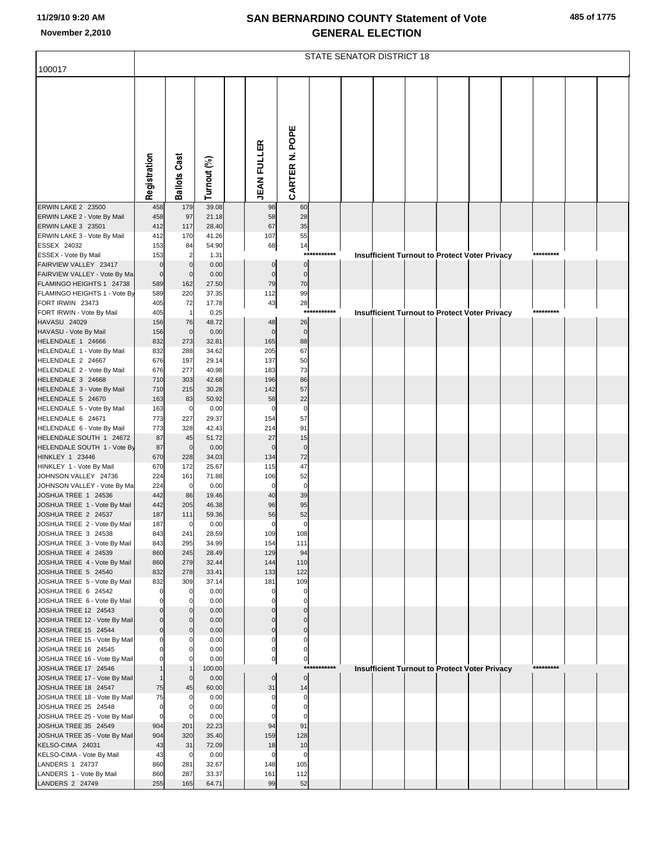|                                                          | <b>STATE SENATOR DISTRICT 18</b> |                            |                |  |                         |                                  |             |  |  |  |  |                                                      |  |           |  |  |
|----------------------------------------------------------|----------------------------------|----------------------------|----------------|--|-------------------------|----------------------------------|-------------|--|--|--|--|------------------------------------------------------|--|-----------|--|--|
| 100017                                                   |                                  |                            |                |  |                         |                                  |             |  |  |  |  |                                                      |  |           |  |  |
|                                                          |                                  |                            |                |  |                         |                                  |             |  |  |  |  |                                                      |  |           |  |  |
|                                                          | Registration                     | <b>Ballots Cast</b>        | Turnout (%)    |  | <b>JEAN FULLER</b>      | CARTER N. POPE                   |             |  |  |  |  |                                                      |  |           |  |  |
|                                                          |                                  |                            |                |  |                         |                                  |             |  |  |  |  |                                                      |  |           |  |  |
| <b>ERWIN LAKE 2 23500</b>                                | 458                              | 179                        | 39.08          |  | 98                      | 60                               |             |  |  |  |  |                                                      |  |           |  |  |
| ERWIN LAKE 2 - Vote By Mail<br><b>ERWIN LAKE 3 23501</b> | 458<br>412                       | 97<br>117                  | 21.18<br>28.40 |  | 58<br>67                | 28<br>35                         |             |  |  |  |  |                                                      |  |           |  |  |
| ERWIN LAKE 3 - Vote By Mail                              | 412                              | 170                        | 41.26          |  | 107                     | 55                               |             |  |  |  |  |                                                      |  |           |  |  |
| ESSEX 24032                                              | 153                              | 84                         | 54.90          |  | 68                      | 14                               |             |  |  |  |  |                                                      |  |           |  |  |
| ESSEX - Vote By Mail                                     | 153                              | $\overline{2}$             | 1.31           |  |                         |                                  | *********** |  |  |  |  | <b>Insufficient Turnout to Protect Voter Privacy</b> |  | ********* |  |  |
| FAIRVIEW VALLEY 23417<br>FAIRVIEW VALLEY - Vote By Ma    | $\bf 0$<br>$\mathbf 0$           | $\mathbf 0$<br>$\mathbf 0$ | 0.00<br>0.00   |  | $\Omega$<br>$\mathbf 0$ | $\overline{0}$<br>$\overline{0}$ |             |  |  |  |  |                                                      |  |           |  |  |
| FLAMINGO HEIGHTS 1 24738                                 | 589                              | 162                        | 27.50          |  | 79                      | 70                               |             |  |  |  |  |                                                      |  |           |  |  |
| FLAMINGO HEIGHTS 1 - Vote By                             | 589                              | 220                        | 37.35          |  | 112                     | 99                               |             |  |  |  |  |                                                      |  |           |  |  |
| FORT IRWIN 23473                                         | 405                              | 72                         | 17.78          |  | 43                      | 28                               |             |  |  |  |  |                                                      |  |           |  |  |
| FORT IRWIN - Vote By Mail                                | 405                              | $\mathbf{1}$               | 0.25           |  |                         | $***$                            | *******     |  |  |  |  | <b>Insufficient Turnout to Protect Voter Privacy</b> |  | ********* |  |  |
| HAVASU 24029<br>HAVASU - Vote By Mail                    | 156<br>156                       | 76<br>$\mathbf 0$          | 48.72<br>0.00  |  | 48<br>$\mathbf 0$       | 26<br>$\mathbf 0$                |             |  |  |  |  |                                                      |  |           |  |  |
| HELENDALE 1 24666                                        | 832                              | 273                        | 32.81          |  | 165                     | 88                               |             |  |  |  |  |                                                      |  |           |  |  |
| HELENDALE 1 - Vote By Mail                               | 832                              | 288                        | 34.62          |  | 205                     | 67                               |             |  |  |  |  |                                                      |  |           |  |  |
| HELENDALE 2 24667                                        | 676                              | 197                        | 29.14          |  | 137                     | 50                               |             |  |  |  |  |                                                      |  |           |  |  |
| HELENDALE 2 - Vote By Mail                               | 676                              | 277                        | 40.98<br>42.68 |  | 183<br>196              | 73<br>86                         |             |  |  |  |  |                                                      |  |           |  |  |
| HELENDALE 3 24668<br>HELENDALE 3 - Vote By Mail          | 710<br>710                       | 303<br>215                 | 30.28          |  | 142                     | 57                               |             |  |  |  |  |                                                      |  |           |  |  |
| HELENDALE 5 24670                                        | 163                              | 83                         | 50.92          |  | 58                      | 22                               |             |  |  |  |  |                                                      |  |           |  |  |
| HELENDALE 5 - Vote By Mail                               | 163                              | $\mathbf 0$                | 0.00           |  | $\mathbf 0$             | $\mathbf 0$                      |             |  |  |  |  |                                                      |  |           |  |  |
| HELENDALE 6 24671                                        | 773                              | 227                        | 29.37          |  | 154                     | 57                               |             |  |  |  |  |                                                      |  |           |  |  |
| HELENDALE 6 - Vote By Mail<br>HELENDALE SOUTH 1 24672    | 773<br>87                        | 328<br>45                  | 42.43<br>51.72 |  | 214<br>27               | 91<br>15                         |             |  |  |  |  |                                                      |  |           |  |  |
| HELENDALE SOUTH 1 - Vote By                              | 87                               | $\mathbf 0$                | 0.00           |  | $\mathbf 0$             | $\mathbf 0$                      |             |  |  |  |  |                                                      |  |           |  |  |
| HINKLEY 1 23446                                          | 670                              | 228                        | 34.03          |  | 134                     | 72                               |             |  |  |  |  |                                                      |  |           |  |  |
| HINKLEY 1 - Vote By Mail                                 | 670                              | 172                        | 25.67          |  | 115                     | 47                               |             |  |  |  |  |                                                      |  |           |  |  |
| JOHNSON VALLEY 24736                                     | 224                              | 161                        | 71.88          |  | 106                     | 52                               |             |  |  |  |  |                                                      |  |           |  |  |
| JOHNSON VALLEY - Vote By Ma<br>JOSHUA TREE 1 24536       | 224<br>442                       | $\mathbf 0$<br>86          | 0.00<br>19.46  |  | $\mathbf 0$<br>40       | $\mathbf 0$<br>39                |             |  |  |  |  |                                                      |  |           |  |  |
| JOSHUA TREE 1 - Vote By Mail                             | 442                              | 205                        | 46.38          |  | 96                      | 95                               |             |  |  |  |  |                                                      |  |           |  |  |
| JOSHUA TREE 2 24537                                      | 187                              | 111                        | 59.36          |  | 56                      | 52                               |             |  |  |  |  |                                                      |  |           |  |  |
| JOSHUA TREE 2 - Vote By Mail                             | 187                              | $\mathbf 0$                | 0.00           |  | $\overline{0}$          | $\overline{0}$                   |             |  |  |  |  |                                                      |  |           |  |  |
| JOSHUA TREE 3 24538<br>JOSHUA TREE 3 - Vote By Mail      | 843<br>843                       | 241<br>295                 | 28.59<br>34.99 |  | 109<br>154              | 108<br>111                       |             |  |  |  |  |                                                      |  |           |  |  |
| JOSHUA TREE 4 24539                                      | 860                              | 245                        | 28.49          |  | 129                     | 94                               |             |  |  |  |  |                                                      |  |           |  |  |
| JOSHUA TREE 4 - Vote By Mail                             | 860                              | 279                        | 32.44          |  | 144                     | 110                              |             |  |  |  |  |                                                      |  |           |  |  |
| JOSHUA TREE 5 24540                                      | 832                              | 278                        | 33.41          |  | 133                     | 122                              |             |  |  |  |  |                                                      |  |           |  |  |
| JOSHUA TREE 5 - Vote By Mail                             | 832                              | 309                        | 37.14          |  | 181<br>$\Omega$         | 109                              |             |  |  |  |  |                                                      |  |           |  |  |
| JOSHUA TREE 6 24542<br>JOSHUA TREE 6 - Vote By Mail      | $\mathbf 0$<br>$\mathbf 0$       | 0<br>0                     | 0.00<br>0.00   |  |                         | $\mathbf 0$<br>$\mathbf 0$       |             |  |  |  |  |                                                      |  |           |  |  |
| JOSHUA TREE 12 24543                                     | $\Omega$                         | $\mathbf 0$                | 0.00           |  |                         | $\Omega$                         |             |  |  |  |  |                                                      |  |           |  |  |
| JOSHUA TREE 12 - Vote By Mail                            | $\mathbf 0$                      | $\mathbf 0$                | 0.00           |  | C                       | $\mathbf 0$                      |             |  |  |  |  |                                                      |  |           |  |  |
| JOSHUA TREE 15 24544                                     | $\overline{0}$                   | $\mathbf 0$                | 0.00           |  | $\Omega$                | $\mathbf 0$                      |             |  |  |  |  |                                                      |  |           |  |  |
| JOSHUA TREE 15 - Vote By Mail<br>JOSHUA TREE 16 24545    | $\mathbf 0$<br>$\Omega$          | 0<br>0                     | 0.00<br>0.00   |  | $\Omega$<br>C           | $\mathbf 0$<br>O                 |             |  |  |  |  |                                                      |  |           |  |  |
| JOSHUA TREE 16 - Vote By Mail                            | $\mathbf 0$                      | 0                          | 0.00           |  | $\pmb{0}$               | $\overline{0}$                   |             |  |  |  |  |                                                      |  |           |  |  |
| JOSHUA TREE 17 24546                                     |                                  |                            | 100.00         |  |                         |                                  | *********** |  |  |  |  | Insufficient Turnout to Protect Voter Privacy        |  | ********* |  |  |
| JOSHUA TREE 17 - Vote By Mail                            | $\mathbf{1}$                     | $\mathbf 0$                | 0.00           |  | $\mathbf 0$             | $\circ$                          |             |  |  |  |  |                                                      |  |           |  |  |
| JOSHUA TREE 18 24547                                     | 75                               | 45                         | 60.00          |  | 31                      | 14                               |             |  |  |  |  |                                                      |  |           |  |  |
| JOSHUA TREE 18 - Vote By Mail<br>JOSHUA TREE 25 24548    | 75<br>$\mathbf 0$                | 0<br>0                     | 0.00<br>0.00   |  | $\mathbf 0$             | $\mathbf 0$<br>$\mathbf 0$       |             |  |  |  |  |                                                      |  |           |  |  |
| JOSHUA TREE 25 - Vote By Mail                            | $\overline{0}$                   | 0                          | 0.00           |  | $\Omega$                | $\Omega$                         |             |  |  |  |  |                                                      |  |           |  |  |
| JOSHUA TREE 35 24549                                     | 904                              | 201                        | 22.23          |  | 94                      | 91                               |             |  |  |  |  |                                                      |  |           |  |  |
| JOSHUA TREE 35 - Vote By Mail                            | 904                              | 320                        | 35.40          |  | 159                     | 128                              |             |  |  |  |  |                                                      |  |           |  |  |
| KELSO-CIMA 24031                                         | 43<br>43                         | 31                         | 72.09          |  | 18                      | 10<br>$\mathbf 0$                |             |  |  |  |  |                                                      |  |           |  |  |
| KELSO-CIMA - Vote By Mail<br>LANDERS 1 24737             | 860                              | $\mathbf 0$<br>281         | 0.00<br>32.67  |  | $\mathbf 0$<br>148      | 105                              |             |  |  |  |  |                                                      |  |           |  |  |
| LANDERS 1 - Vote By Mail                                 | 860                              | 287                        | 33.37          |  | 161                     | 112                              |             |  |  |  |  |                                                      |  |           |  |  |
| LANDERS 2 24749                                          | 255                              | 165                        | 64.71          |  | 99                      | 52                               |             |  |  |  |  |                                                      |  |           |  |  |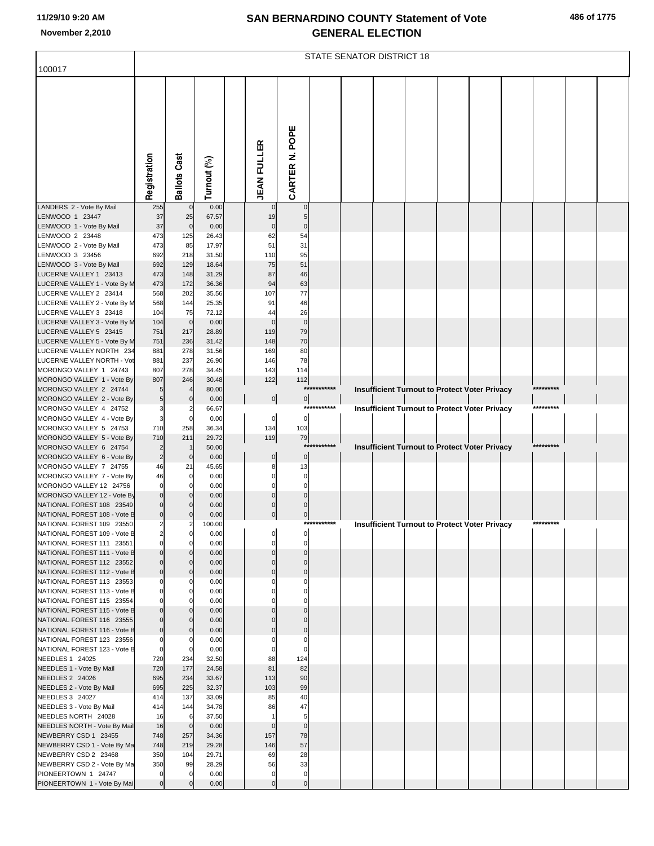|  | 486 of 1775 |
|--|-------------|
|  |             |

|                                                           | <b>STATE SENATOR DISTRICT 18</b> |                      |                |  |                    |                   |             |  |  |  |  |                                                      |  |           |  |  |
|-----------------------------------------------------------|----------------------------------|----------------------|----------------|--|--------------------|-------------------|-------------|--|--|--|--|------------------------------------------------------|--|-----------|--|--|
| 100017                                                    |                                  |                      |                |  |                    |                   |             |  |  |  |  |                                                      |  |           |  |  |
|                                                           |                                  |                      |                |  |                    |                   |             |  |  |  |  |                                                      |  |           |  |  |
|                                                           |                                  |                      |                |  |                    |                   |             |  |  |  |  |                                                      |  |           |  |  |
|                                                           |                                  |                      |                |  |                    |                   |             |  |  |  |  |                                                      |  |           |  |  |
|                                                           |                                  |                      |                |  |                    |                   |             |  |  |  |  |                                                      |  |           |  |  |
|                                                           |                                  |                      |                |  |                    |                   |             |  |  |  |  |                                                      |  |           |  |  |
|                                                           |                                  |                      |                |  |                    |                   |             |  |  |  |  |                                                      |  |           |  |  |
|                                                           |                                  |                      |                |  |                    |                   |             |  |  |  |  |                                                      |  |           |  |  |
|                                                           | Registration                     | <b>Ballots Cast</b>  | Turnout (%)    |  | <b>JEAN FULLER</b> | CARTER N. POPE    |             |  |  |  |  |                                                      |  |           |  |  |
|                                                           |                                  |                      |                |  |                    |                   |             |  |  |  |  |                                                      |  |           |  |  |
| LANDERS 2 - Vote By Mail                                  | 255                              | $\pmb{0}$            | 0.00           |  |                    | $\Omega$          |             |  |  |  |  |                                                      |  |           |  |  |
| LENWOOD 1 23447<br>LENWOOD 1 - Vote By Mail               | 37<br>37                         | 25<br>$\mathbf 0$    | 67.57<br>0.00  |  | 19<br>$\mathbf 0$  | 5<br>$\mathbf 0$  |             |  |  |  |  |                                                      |  |           |  |  |
| LENWOOD 2 23448                                           | 473                              | 125                  | 26.43          |  | 62                 | 54                |             |  |  |  |  |                                                      |  |           |  |  |
| LENWOOD 2 - Vote By Mail                                  | 473                              | 85                   | 17.97          |  | 51                 | 31                |             |  |  |  |  |                                                      |  |           |  |  |
| LENWOOD 3 23456<br>LENWOOD 3 - Vote By Mail               | 692<br>692                       | 218<br>129           | 31.50<br>18.64 |  | 110<br>75          | 95<br>51          |             |  |  |  |  |                                                      |  |           |  |  |
| LUCERNE VALLEY 1 23413                                    | 473                              | 148                  | 31.29          |  | 87                 | 46                |             |  |  |  |  |                                                      |  |           |  |  |
| LUCERNE VALLEY 1 - Vote By M<br>LUCERNE VALLEY 2 23414    | 473<br>568                       | 172<br>202           | 36.36<br>35.56 |  | 94<br>107          | 63<br>77          |             |  |  |  |  |                                                      |  |           |  |  |
| LUCERNE VALLEY 2 - Vote By M                              | 568                              | 144                  | 25.35          |  | 91                 | 46                |             |  |  |  |  |                                                      |  |           |  |  |
| LUCERNE VALLEY 3 23418                                    | 104                              | 75                   | 72.12          |  | 44                 | 26                |             |  |  |  |  |                                                      |  |           |  |  |
| LUCERNE VALLEY 3 - Vote By M<br>LUCERNE VALLEY 5 23415    | 104<br>751                       | $\mathbf 0$<br>217   | 0.00<br>28.89  |  | $\Omega$<br>119    | $\mathbf 0$<br>79 |             |  |  |  |  |                                                      |  |           |  |  |
| LUCERNE VALLEY 5 - Vote By M                              | 751                              | 236                  | 31.42          |  | 148                | 70                |             |  |  |  |  |                                                      |  |           |  |  |
| LUCERNE VALLEY NORTH 234                                  | 881                              | 278<br>237           | 31.56          |  | 169                | 80<br>78          |             |  |  |  |  |                                                      |  |           |  |  |
| LUCERNE VALLEY NORTH - Vot<br>MORONGO VALLEY 1 24743      | 881<br>807                       | 278                  | 26.90<br>34.45 |  | 146<br>143         | 114               |             |  |  |  |  |                                                      |  |           |  |  |
| MORONGO VALLEY 1 - Vote By                                | 807                              | 246                  | 30.48          |  | 122                | 112               |             |  |  |  |  |                                                      |  |           |  |  |
| MORONGO VALLEY 2 24744<br>MORONGO VALLEY 2 - Vote By      | 5<br>$5\overline{)}$             | $\mathbf 0$          | 80.00<br>0.00  |  | 0                  |                   | *********** |  |  |  |  | <b>Insufficient Turnout to Protect Voter Privacy</b> |  | ********* |  |  |
| MORONGO VALLEY 4 24752                                    | 3                                | 2                    | 66.67          |  |                    | $\overline{0}$    | *********** |  |  |  |  | <b>Insufficient Turnout to Protect Voter Privacy</b> |  | ********* |  |  |
| MORONGO VALLEY 4 - Vote By                                | $\overline{\mathbf{3}}$          | $\mathbf 0$          | 0.00           |  | $\mathbf 0$        | $\pmb{0}$         |             |  |  |  |  |                                                      |  |           |  |  |
| MORONGO VALLEY 5 24753<br>MORONGO VALLEY 5 - Vote By      | 710<br>710                       | 258<br>211           | 36.34<br>29.72 |  | 134<br>119         | 103<br>79         |             |  |  |  |  |                                                      |  |           |  |  |
| MORONGO VALLEY 6 24754                                    | 2                                | $\overline{1}$       | 50.00          |  |                    |                   | *********** |  |  |  |  | <b>Insufficient Turnout to Protect Voter Privacy</b> |  | ********* |  |  |
| MORONGO VALLEY 6 - Vote By<br>MORONGO VALLEY 7 24755      | $\overline{2}$<br>46             | $\mathbf 0$<br>21    | 0.00<br>45.65  |  | 0<br>8             | $\Omega$<br>13    |             |  |  |  |  |                                                      |  |           |  |  |
| MORONGO VALLEY 7 - Vote By                                | 46                               | $\mathbf 0$          | 0.00           |  | n                  | O                 |             |  |  |  |  |                                                      |  |           |  |  |
| MORONGO VALLEY 12 24756                                   | $\Omega$                         | $\Omega$             | 0.00           |  |                    |                   |             |  |  |  |  |                                                      |  |           |  |  |
| MORONGO VALLEY 12 - Vote By<br>NATIONAL FOREST 108 23549  | $\overline{0}$<br>$\Omega$       | $\Omega$             | 0.00<br>0.00   |  |                    |                   |             |  |  |  |  |                                                      |  |           |  |  |
| NATIONAL FOREST 108 - Vote B                              | $\overline{0}$                   | $\Omega$             | 0.00           |  | $\mathbf 0$        | $\mathbf{0}$      |             |  |  |  |  |                                                      |  |           |  |  |
| NATIONAL FOREST 109 23550<br>NATIONAL FOREST 109 - Vote B | 2<br>$\overline{2}$              | $\mathbf 0$          | 100.00<br>0.00 |  |                    | ***:              |             |  |  |  |  | <b>Insufficient Turnout to Protect Voter Privacy</b> |  |           |  |  |
| NATIONAL FOREST 111 23551                                 | $\mathbf{0}$                     |                      | 0.00           |  |                    |                   |             |  |  |  |  |                                                      |  |           |  |  |
| NATIONAL FOREST 111 - Vote B                              | $\overline{0}$                   | $\Omega$             | 0.00           |  |                    |                   |             |  |  |  |  |                                                      |  |           |  |  |
| NATIONAL FOREST 112 23552<br>NATIONAL FOREST 112 - Vote B | 0<br>$\mathbf 0$                 | $\Omega$<br>$\Omega$ | 0.00<br>0.00   |  |                    |                   |             |  |  |  |  |                                                      |  |           |  |  |
| NATIONAL FOREST 113 23553                                 |                                  |                      | 0.00           |  |                    |                   |             |  |  |  |  |                                                      |  |           |  |  |
| NATIONAL FOREST 113 - Vote B<br>NATIONAL FOREST 115 23554 | 0                                | $\Omega$             | 0.00<br>0.00   |  |                    |                   |             |  |  |  |  |                                                      |  |           |  |  |
| NATIONAL FOREST 115 - Vote B                              |                                  | $\Omega$             | 0.00           |  |                    |                   |             |  |  |  |  |                                                      |  |           |  |  |
| NATIONAL FOREST 116 23555                                 |                                  |                      | 0.00           |  |                    |                   |             |  |  |  |  |                                                      |  |           |  |  |
| NATIONAL FOREST 116 - Vote B<br>NATIONAL FOREST 123 23556 | 0<br>0                           | $\Omega$             | 0.00<br>0.00   |  |                    |                   |             |  |  |  |  |                                                      |  |           |  |  |
| NATIONAL FOREST 123 - Vote B                              | $\overline{0}$                   | $\mathbf 0$          | 0.00           |  |                    |                   |             |  |  |  |  |                                                      |  |           |  |  |
| NEEDLES 1 24025<br>NEEDLES 1 - Vote By Mail               | 720<br>720                       | 234<br>177           | 32.50<br>24.58 |  | 88<br>81           | 124<br>82         |             |  |  |  |  |                                                      |  |           |  |  |
| NEEDLES 2 24026                                           | 695                              | 234                  | 33.67          |  | 113                | 90                |             |  |  |  |  |                                                      |  |           |  |  |
| NEEDLES 2 - Vote By Mail                                  | 695                              | 225                  | 32.37          |  | 103                | 99                |             |  |  |  |  |                                                      |  |           |  |  |
| NEEDLES 3 24027<br>NEEDLES 3 - Vote By Mail               | 414<br>414                       | 137<br>144           | 33.09<br>34.78 |  | 85<br>86           | 40<br>47          |             |  |  |  |  |                                                      |  |           |  |  |
| NEEDLES NORTH 24028                                       | 16                               | 6                    | 37.50          |  |                    | 5                 |             |  |  |  |  |                                                      |  |           |  |  |
| NEEDLES NORTH - Vote By Mail                              | 16                               | $\mathbf 0$          | 0.00           |  | $\Omega$           | $\mathbf 0$       |             |  |  |  |  |                                                      |  |           |  |  |
| NEWBERRY CSD 1 23455<br>NEWBERRY CSD 1 - Vote By Ma       | 748<br>748                       | 257<br>219           | 34.36<br>29.28 |  | 157<br>146         | 78<br>57          |             |  |  |  |  |                                                      |  |           |  |  |
| NEWBERRY CSD 2 23468                                      | 350                              | 104                  | 29.71          |  | 69                 | 28                |             |  |  |  |  |                                                      |  |           |  |  |
| NEWBERRY CSD 2 - Vote By Ma<br>PIONEERTOWN 1 24747        | 350<br>$\Omega$                  | 99<br>$\Omega$       | 28.29<br>0.00  |  | 56<br>0            | 33<br>0           |             |  |  |  |  |                                                      |  |           |  |  |
| PIONEERTOWN 1 - Vote By Mai                               | $\overline{0}$                   | $\Omega$             | 0.00           |  | $\Omega$           | $\mathbf 0$       |             |  |  |  |  |                                                      |  |           |  |  |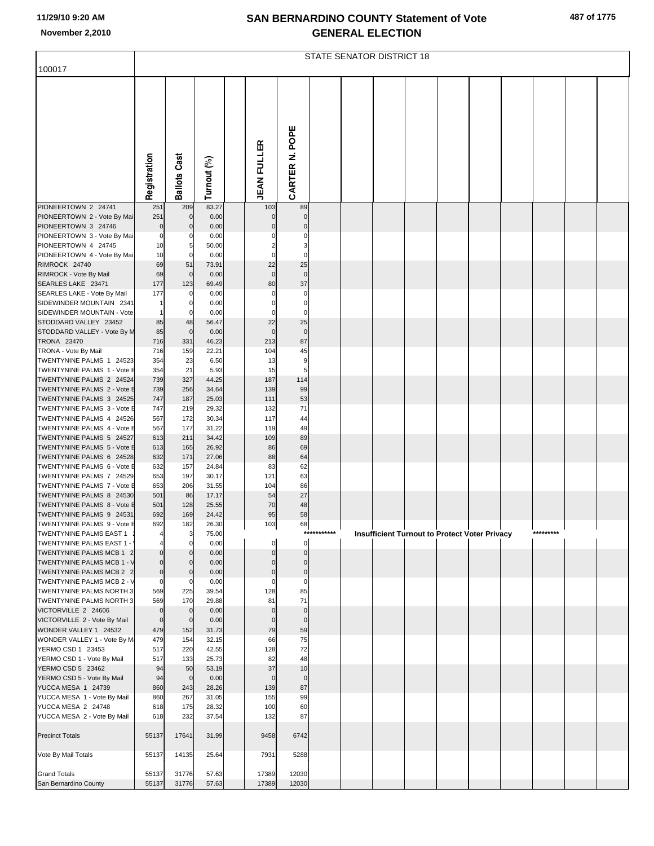| 487 of 1775 |  |  |  |
|-------------|--|--|--|
|-------------|--|--|--|

|                                                             | <b>STATE SENATOR DISTRICT 18</b> |                            |                |  |                    |                            |             |  |  |  |                                                      |  |  |           |  |  |
|-------------------------------------------------------------|----------------------------------|----------------------------|----------------|--|--------------------|----------------------------|-------------|--|--|--|------------------------------------------------------|--|--|-----------|--|--|
| 100017                                                      |                                  |                            |                |  |                    |                            |             |  |  |  |                                                      |  |  |           |  |  |
|                                                             | Registration                     | <b>Ballots Cast</b>        | Turnout (%)    |  | <b>JEAN FULLER</b> | POPE<br>ż<br>CARTER        |             |  |  |  |                                                      |  |  |           |  |  |
| PIONEERTOWN 2 24741                                         | 251                              | 209                        | 83.27          |  | 103                | 89                         |             |  |  |  |                                                      |  |  |           |  |  |
| PIONEERTOWN 2 - Vote By Mai<br>PIONEERTOWN 3 24746          | 251<br>$\mathbf 0$               | $\mathbf 0$<br>$\mathbf 0$ | 0.00<br>0.00   |  | $\mathbf 0$        | $\mathbf 0$<br>$\mathbf 0$ |             |  |  |  |                                                      |  |  |           |  |  |
| PIONEERTOWN 3 - Vote By Mai                                 | $\mathbf 0$                      | $\Omega$                   | 0.00           |  |                    | $\Omega$                   |             |  |  |  |                                                      |  |  |           |  |  |
| PIONEERTOWN 4 24745                                         | 10                               | 5                          | 50.00          |  |                    | 3                          |             |  |  |  |                                                      |  |  |           |  |  |
| PIONEERTOWN 4 - Vote By Mai<br>RIMROCK 24740                | 10<br>69                         | 0<br>51                    | 0.00<br>73.91  |  | $\Omega$<br>22     | $\mathbf 0$<br>25          |             |  |  |  |                                                      |  |  |           |  |  |
| RIMROCK - Vote By Mail                                      | 69                               | $\mathbf 0$                | 0.00           |  | $\mathbf 0$        | $\mathbf 0$                |             |  |  |  |                                                      |  |  |           |  |  |
| SEARLES LAKE 23471                                          | 177                              | 123                        | 69.49          |  | 80                 | 37                         |             |  |  |  |                                                      |  |  |           |  |  |
| SEARLES LAKE - Vote By Mail                                 | 177                              |                            | 0.00           |  | 0                  | 0                          |             |  |  |  |                                                      |  |  |           |  |  |
| SIDEWINDER MOUNTAIN 2341                                    | 1                                | 0                          | 0.00           |  | $\Omega$           | $\mathbf 0$<br>$\mathbf 0$ |             |  |  |  |                                                      |  |  |           |  |  |
| SIDEWINDER MOUNTAIN - Vote<br>STODDARD VALLEY 23452         | $\mathbf{1}$<br>85               | 0<br>48                    | 0.00<br>56.47  |  | 22                 | 25                         |             |  |  |  |                                                      |  |  |           |  |  |
| STODDARD VALLEY - Vote By M                                 | 85                               | $\mathbf 0$                | 0.00           |  | $\Omega$           | $\mathbf 0$                |             |  |  |  |                                                      |  |  |           |  |  |
| <b>TRONA 23470</b>                                          | 716                              | 331                        | 46.23          |  | 213                | 87                         |             |  |  |  |                                                      |  |  |           |  |  |
| TRONA - Vote By Mail                                        | 716                              | 159                        | 22.21          |  | 104                | 45                         |             |  |  |  |                                                      |  |  |           |  |  |
| TWENTYNINE PALMS 1 24523<br>TWENTYNINE PALMS 1 - Vote E     | 354<br>354                       | 23<br>21                   | 6.50<br>5.93   |  | 13<br>15           | 9<br>5                     |             |  |  |  |                                                      |  |  |           |  |  |
| TWENTYNINE PALMS 2 24524                                    | 739                              | 327                        | 44.25          |  | 187                | 114                        |             |  |  |  |                                                      |  |  |           |  |  |
| TWENTYNINE PALMS 2 - Vote E                                 | 739                              | 256                        | 34.64          |  | 139                | 99                         |             |  |  |  |                                                      |  |  |           |  |  |
| TWENTYNINE PALMS 3 24525                                    | 747                              | 187                        | 25.03          |  | 111                | 53                         |             |  |  |  |                                                      |  |  |           |  |  |
| TWENTYNINE PALMS 3 - Vote E<br>TWENTYNINE PALMS 4 24526     | 747<br>567                       | 219<br>172                 | 29.32<br>30.34 |  | 132<br>117         | 71<br>44                   |             |  |  |  |                                                      |  |  |           |  |  |
| TWENTYNINE PALMS 4 - Vote E                                 | 567                              | 177                        | 31.22          |  | 119                | 49                         |             |  |  |  |                                                      |  |  |           |  |  |
| TWENTYNINE PALMS 5 24527                                    | 613                              | 211                        | 34.42          |  | 109                | 89                         |             |  |  |  |                                                      |  |  |           |  |  |
| TWENTYNINE PALMS 5 - Vote E                                 | 613                              | 165                        | 26.92          |  | 86                 | 69                         |             |  |  |  |                                                      |  |  |           |  |  |
| TWENTYNINE PALMS 6 24528<br>TWENTYNINE PALMS 6 - Vote E     | 632<br>632                       | 171<br>157                 | 27.06<br>24.84 |  | 88<br>83           | 64<br>62                   |             |  |  |  |                                                      |  |  |           |  |  |
| TWENTYNINE PALMS 7 24529                                    | 653                              | 197                        | 30.17          |  | 121                | 63                         |             |  |  |  |                                                      |  |  |           |  |  |
| TWENTYNINE PALMS 7 - Vote E                                 | 653                              | 206                        | 31.55          |  | 104                | 86                         |             |  |  |  |                                                      |  |  |           |  |  |
| TWENTYNINE PALMS 8 24530                                    | 501                              | 86                         | 17.17          |  | 54                 | 27                         |             |  |  |  |                                                      |  |  |           |  |  |
| TWENTYNINE PALMS 8 - Vote E<br>TWENTYNINE PALMS 9 24531     | 501<br>692                       | 128<br>169                 | 25.55<br>24.42 |  | 70<br>95           | 48<br>58                   |             |  |  |  |                                                      |  |  |           |  |  |
| TWENTYNINE PALMS 9 - Vote E                                 | 692                              | 182                        | 26.30          |  | 103                | 68                         |             |  |  |  |                                                      |  |  |           |  |  |
| TWENTYNINE PALMS EAST 1                                     |                                  | 3                          | 75.00          |  |                    |                            | *********** |  |  |  | <b>Insufficient Turnout to Protect Voter Privacy</b> |  |  | ********* |  |  |
| TWENTYNINE PALMS EAST 1 -                                   |                                  |                            | 0.00           |  |                    | $\mathbf 0$<br>$\Omega$    |             |  |  |  |                                                      |  |  |           |  |  |
| TWENTYNINE PALMS MCB 1 2<br>TWENTYNINE PALMS MCB 1 - V      | $\mathbf 0$<br>$\mathbf 0$       |                            | 0.00<br>0.00   |  |                    | $\mathbf 0$                |             |  |  |  |                                                      |  |  |           |  |  |
| TWENTYNINE PALMS MCB 2 2                                    | $\mathbf 0$                      |                            | 0.00           |  | $\mathbf 0$        | $\mathbf 0$                |             |  |  |  |                                                      |  |  |           |  |  |
| TWENTYNINE PALMS MCB 2 - V                                  | $\mathbf 0$                      | 0                          | 0.00           |  | 0                  | $\mathbf 0$                |             |  |  |  |                                                      |  |  |           |  |  |
| <b>TWENTYNINE PALMS NORTH 3</b><br>TWENTYNINE PALMS NORTH 3 | 569<br>569                       | 225<br>170                 | 39.54<br>29.88 |  | 128<br>81          | 85<br>71                   |             |  |  |  |                                                      |  |  |           |  |  |
| VICTORVILLE 2 24606                                         | $\mathbf 0$                      | $\mathbf 0$                | 0.00           |  | $\Omega$           | $\mathbf 0$                |             |  |  |  |                                                      |  |  |           |  |  |
| VICTORVILLE 2 - Vote By Mail                                | $\mathbf 0$                      | $\mathbf 0$                | 0.00           |  | $\Omega$           | $\mathbf 0$                |             |  |  |  |                                                      |  |  |           |  |  |
| WONDER VALLEY 1 24532                                       | 479                              | 152                        | 31.73          |  | 79                 | 59                         |             |  |  |  |                                                      |  |  |           |  |  |
| WONDER VALLEY 1 - Vote By M.<br>YERMO CSD 1 23453           | 479<br>517                       | 154<br>220                 | 32.15<br>42.55 |  | 66<br>128          | 75<br>72                   |             |  |  |  |                                                      |  |  |           |  |  |
| YERMO CSD 1 - Vote By Mail                                  | 517                              | 133                        | 25.73          |  | 82                 | 48                         |             |  |  |  |                                                      |  |  |           |  |  |
| YERMO CSD 5 23462                                           | 94                               | 50                         | 53.19          |  | 37                 | 10                         |             |  |  |  |                                                      |  |  |           |  |  |
| YERMO CSD 5 - Vote By Mail                                  | 94                               | $\mathbf 0$                | 0.00           |  | $\Omega$           | $\mathbf 0$                |             |  |  |  |                                                      |  |  |           |  |  |
| YUCCA MESA 1 24739<br>YUCCA MESA 1 - Vote By Mail           | 860<br>860                       | 243<br>267                 | 28.26<br>31.05 |  | 139<br>155         | 87<br>99                   |             |  |  |  |                                                      |  |  |           |  |  |
| YUCCA MESA 2 24748                                          | 618                              | 175                        | 28.32          |  | 100                | 60                         |             |  |  |  |                                                      |  |  |           |  |  |
| YUCCA MESA 2 - Vote By Mail                                 | 618                              | 232                        | 37.54          |  | 132                | 87                         |             |  |  |  |                                                      |  |  |           |  |  |
| <b>Precinct Totals</b>                                      | 55137                            | 17641                      | 31.99          |  | 9458               | 6742                       |             |  |  |  |                                                      |  |  |           |  |  |
| Vote By Mail Totals                                         | 55137                            | 14135                      | 25.64          |  | 7931               | 5288                       |             |  |  |  |                                                      |  |  |           |  |  |
| <b>Grand Totals</b>                                         | 55137                            | 31776                      | 57.63          |  | 17389              | 12030                      |             |  |  |  |                                                      |  |  |           |  |  |
| San Bernardino County                                       | 55137                            | 31776                      | 57.63          |  | 17389              | 12030                      |             |  |  |  |                                                      |  |  |           |  |  |